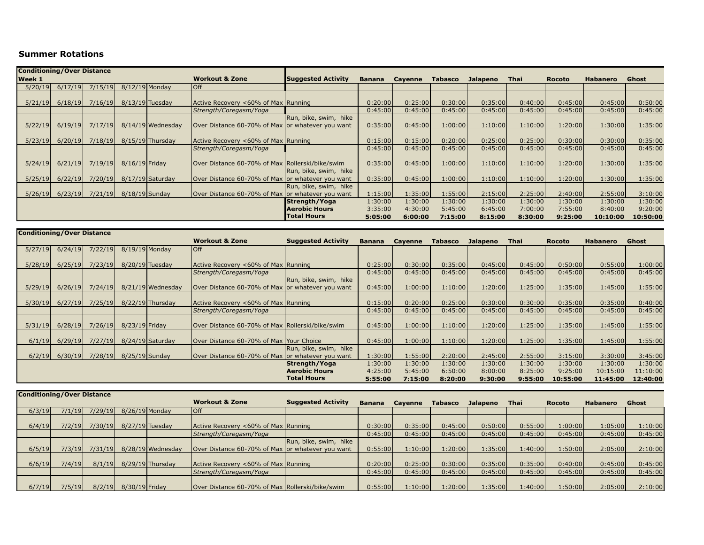## **Summer Rotations**

| <b>Conditioning/Over Distance</b>          |         |         |                   |                    |                                                    |                           |               |         |                |                 |         |               |                 |          |
|--------------------------------------------|---------|---------|-------------------|--------------------|----------------------------------------------------|---------------------------|---------------|---------|----------------|-----------------|---------|---------------|-----------------|----------|
| <b>Workout &amp; Zone</b><br><b>Week 1</b> |         |         |                   |                    |                                                    | <b>Suggested Activity</b> | <b>Banana</b> | Cayenne | <b>Tabasco</b> | <b>Jalapeno</b> | Thai    | <b>Rocoto</b> | <b>Habanero</b> | Ghost    |
| 5/20/19                                    | 6/17/19 | 7/15/19 | $8/12/19$ Monday  |                    | $I$ Off                                            |                           |               |         |                |                 |         |               |                 |          |
|                                            |         |         |                   |                    |                                                    |                           |               |         |                |                 |         |               |                 |          |
| 5/21/19                                    | 6/18/19 | 7/16/19 | $8/13/19$ Tuesday |                    | Active Recovery <60% of Max Running                |                           | 0:20:00       | 0:25:00 | 0:30:00        | 0:35:00         | 0:40:00 | 0:45:00       | 0:45:00         | 0:50:00  |
|                                            |         |         |                   |                    | Strength/Coregasm/Yoga                             |                           | 0:45:00       | 0:45:00 | 0:45:00        | 0:45:00         | 0:45:00 | 0:45:00       | 0:45:00         | 0:45:00  |
|                                            |         |         |                   |                    |                                                    | Run, bike, swim, hike     |               |         |                |                 |         |               |                 |          |
| 5/22/19                                    | 6/19/19 | 7/17/19 |                   | 8/14/19 Wednesday  | lOver Distance 60-70% of Max lor whatever you want |                           | 0:35:00       | 0:45:00 | 1:00:00        | 1:10:00         | 1:10:00 | 1:20:00       | 1:30:00         | 1:35:00  |
|                                            |         |         |                   |                    |                                                    |                           |               |         |                |                 |         |               |                 |          |
| 5/23/19                                    | 6/20/19 | 7/18/19 |                   | 8/15/19 Thursday   | Active Recovery <60% of Max Running                |                           | 0:15:00       | 0:15:00 | 0:20:00        | 0:25:00         | 0:25:00 | 0:30:00       | 0:30:00         | 0:35:00  |
|                                            |         |         |                   |                    | Strength/Coregasm/Yoga                             |                           | 0:45:00       | 0:45:00 | 0:45:00        | 0:45:00         | 0:45:00 | 0:45:00       | 0:45:00         | 0:45:00  |
|                                            |         |         |                   |                    |                                                    |                           |               |         |                |                 |         |               |                 |          |
| 5/24/19                                    | 6/21/19 | 7/19/19 | $8/16/19$ Friday  |                    | Over Distance 60-70% of Max Rollerski/bike/swim    |                           | 0:35:00       | 0:45:00 | 1:00:00        | 1:10:00         | 1:10:00 | 1:20:00       | 1:30:00         | 1:35:00  |
|                                            |         |         |                   |                    |                                                    | Run, bike, swim, hike     |               |         |                |                 |         |               |                 |          |
| 5/25/19                                    | 6/22/19 | 7/20/19 |                   | $8/17/19$ Saturday | lOver Distance 60-70% of Max or whatever you want  |                           | 0:35:00       | 0:45:00 | 1:00:00        | 1:10:00         | 1:10:00 | 1:20:00       | 1:30:00         | 1:35:00  |
|                                            |         |         |                   |                    |                                                    | Run, bike, swim, hike     |               |         |                |                 |         |               |                 |          |
| 5/26/19                                    | 6/23/19 | 7/21/19 | $8/18/19$ Sunday  |                    | Over Distance 60-70% of Max or whatever you want   |                           | 1:15:00       | 1:35:00 | 1:55:00        | 2:15:00         | 2:25:00 | 2:40:00       | 2:55:00         | 3:10:00  |
|                                            |         |         |                   |                    |                                                    | Strength/Yoga             | 1:30:00       | 1:30:00 | 1:30:00        | 1:30:00         | 1:30:00 | 1:30:00       | 1:30:00         | 1:30:00  |
|                                            |         |         |                   |                    |                                                    | <b>Aerobic Hours</b>      | 3:35:00       | 4:30:00 | 5:45:00        | 6:45:00         | 7:00:00 | 7:55:00       | 8:40:00         | 9:20:00  |
|                                            |         |         |                   |                    |                                                    | <b>Total Hours</b>        | 5:05:00       | 6:00:00 | 7:15:00        | 8:15:00         | 8:30:00 | 9:25:00       | 10:10:00        | 10:50:00 |

|         | <b>Conditioning/Over Distance</b> |         |                  |                    |                                                    |                           |               |                |         |                 |         |               |                 |          |
|---------|-----------------------------------|---------|------------------|--------------------|----------------------------------------------------|---------------------------|---------------|----------------|---------|-----------------|---------|---------------|-----------------|----------|
|         |                                   |         |                  |                    | <b>Workout &amp; Zone</b>                          | <b>Suggested Activity</b> | <b>Banana</b> | <b>Cayenne</b> | Tabasco | <b>Jalapeno</b> | Thai    | <b>Rocoto</b> | <b>Habanero</b> | Ghost    |
| 5/27/19 | 6/24/19                           | 7/22/19 | $8/19/19$ Monday |                    | loff                                               |                           |               |                |         |                 |         |               |                 |          |
|         |                                   |         |                  |                    |                                                    |                           |               |                |         |                 |         |               |                 |          |
| 5/28/19 | 6/25/19                           | 7/23/19 |                  | $8/20/19$ Tuesday  | Active Recovery <60% of Max Running                |                           | 0:25:00       | 0:30:00        | 0:35:00 | 0:45:00         | 0:45:00 | 0:50:00       | 0:55:00         | 1:00:00  |
|         |                                   |         |                  |                    | Strength/Coregasm/Yoga                             |                           | 0:45:00       | 0:45:00        | 0:45:00 | 0:45:00         | 0:45:00 | 0:45:00       | 0:45:00         | 0:45:00  |
|         |                                   |         |                  |                    |                                                    | Run, bike, swim, hike     |               |                |         |                 |         |               |                 |          |
| 5/29/19 | 6/26/19                           | 7/24/19 |                  | 8/21/19 Wednesday  | lOver Distance 60-70% of Max lor whatever vou want |                           | 0:45:00       | 1:00:00        | 1:10:00 | 1:20:00         | 1:25:00 | 1:35:00       | 1:45:00         | 1:55:00  |
|         |                                   |         |                  |                    |                                                    |                           |               |                |         |                 |         |               |                 |          |
| 5/30/19 | 6/27/19                           | 7/25/19 |                  | $8/22/19$ Thursday | Active Recovery <60% of Max Running                |                           | 0:15:00       | 0:20:00        | 0:25:00 | 0:30:00         | 0:30:00 | 0:35:00       | 0:35:00         | 0:40:00  |
|         |                                   |         |                  |                    | Strength/Coregasm/Yoga                             |                           | 0:45:00       | 0:45:00        | 0:45:00 | 0:45:00         | 0:45:00 | 0:45:00       | 0:45:00         | 0:45:00  |
|         |                                   |         |                  |                    |                                                    |                           |               |                |         |                 |         |               |                 |          |
| 5/31/19 | 6/28/19                           | 7/26/19 | 8/23/19 Friday   |                    | Over Distance 60-70% of Max Rollerski/bike/swim    |                           | 0:45:00       | 1:00:00        | 1:10:00 | 1:20:00         | 1:25:00 | 1:35:00       | 1:45:00         | 1:55:00  |
|         |                                   |         |                  |                    |                                                    |                           |               |                |         |                 |         |               |                 |          |
| 6/1/19  | 6/29/19                           | 7/27/19 |                  | 8/24/19 Saturday   | Over Distance 60-70% of Max lYour Choice           |                           | 0:45:00       | 1:00:00        | 1:10:00 | 1:20:00         | 1:25:00 | 1:35:00       | 1:45:00         | 1:55:00  |
|         |                                   |         |                  |                    |                                                    | Run, bike, swim, hike     |               |                |         |                 |         |               |                 |          |
|         | $6/2/19$ $6/30/19$                | 7/28/19 | $8/25/19$ Sunday |                    | lOver Distance 60-70% of Max lor whatever vou want |                           | 1:30:00       | 1:55:00        | 2:20:00 | 2:45:00         | 2:55:00 | 3:15:00       | 3:30:00         | 3:45:00  |
|         |                                   |         |                  |                    |                                                    | Strength/Yoga             | 1:30:00       | 1:30:00        | 1:30:00 | 1:30:00         | 1:30:00 | 1:30:00       | 1:30:00         | 1:30:00  |
|         |                                   |         |                  |                    |                                                    | <b>Aerobic Hours</b>      | 4:25:00       | 5:45:00        | 6:50:00 | 8:00:00         | 8:25:00 | 9:25:00       | 10:15:00        | 11:10:00 |
|         |                                   |         |                  |                    |                                                    | <b>Total Hours</b>        | 5:55:00       | 7:15:00        | 8:20:00 | 9:30:00         | 9:55:00 | 10:55:00      | 11:45:00        | 12:40:00 |

| <b>Conditioning/Over Distance</b> |        |         |                  |                    |                                                  |                           |               |         |                |          |         |               |                 |         |
|-----------------------------------|--------|---------|------------------|--------------------|--------------------------------------------------|---------------------------|---------------|---------|----------------|----------|---------|---------------|-----------------|---------|
|                                   |        |         |                  |                    | <b>Workout &amp; Zone</b>                        | <b>Suggested Activity</b> | <b>Banana</b> | Cavenne | <b>Tabasco</b> | Jalapeno | Thai    | <b>Rocoto</b> | <b>Habanero</b> | Ghost   |
| 6/3/19                            | 7/1/19 | 7/29/19 | $8/26/19$ Monday |                    | loff                                             |                           |               |         |                |          |         |               |                 |         |
|                                   |        |         |                  |                    |                                                  |                           |               |         |                |          |         |               |                 |         |
| 6/4/19                            | 7/2/19 | 7/30/19 |                  | $8/27/19$ Tuesday  | Active Recovery <60% of Max Running              |                           | 0:30:00       | 0:35:00 | 0:45:00        | 0:50:00  | 0:55:00 | 1:00:00       | 1:05:00         | 1:10:00 |
|                                   |        |         |                  |                    | Strength/Coregasm/Yoga                           |                           | 0:45:00       | 0:45:00 | 0:45:00        | 0:45:00  | 0:45:00 | 0:45:00       | 0:45:00         | 0:45:00 |
|                                   |        |         |                  |                    |                                                  | Run, bike, swim, hike     |               |         |                |          |         |               |                 |         |
| 6/5/19                            | 7/3/19 | 7/31/19 |                  | 8/28/19 Wednesday  | Over Distance 60-70% of Max or whatever you want |                           | 0:55:00       | 1:10:00 | 1:20:00        | 1:35:00  | 1:40:00 | 1:50:00       | 2:05:00         | 2:10:00 |
|                                   |        |         |                  |                    |                                                  |                           |               |         |                |          |         |               |                 |         |
| 6/6/19                            | 7/4/19 | 8/1/19  |                  | $8/29/19$ Thursday | Active Recovery <60% of Max Running              |                           | 0:20:00       | 0:25:00 | 0:30:00        | 0:35:00  | 0:35:00 | 0:40:00       | 0:45:00         | 0:45:00 |
|                                   |        |         |                  |                    | Strength/Coregasm/Yoga                           |                           | 0:45:00       | 0:45:00 | 0:45:00        | 0:45:00  | 0:45:00 | 0:45:00       | 0:45:00         | 0:45:00 |
|                                   |        |         |                  |                    |                                                  |                           |               |         |                |          |         |               |                 |         |
| 6/7/19                            | 7/5/19 | 8/2/19  | 8/30/19 Friday   |                    | Over Distance 60-70% of Max Rollerski/bike/swim  |                           | 0:55:00       | 1:10:00 | 1:20:00        | 1:35:00  | 1:40:00 | 1:50:00       | 2:05:00         | 2:10:00 |